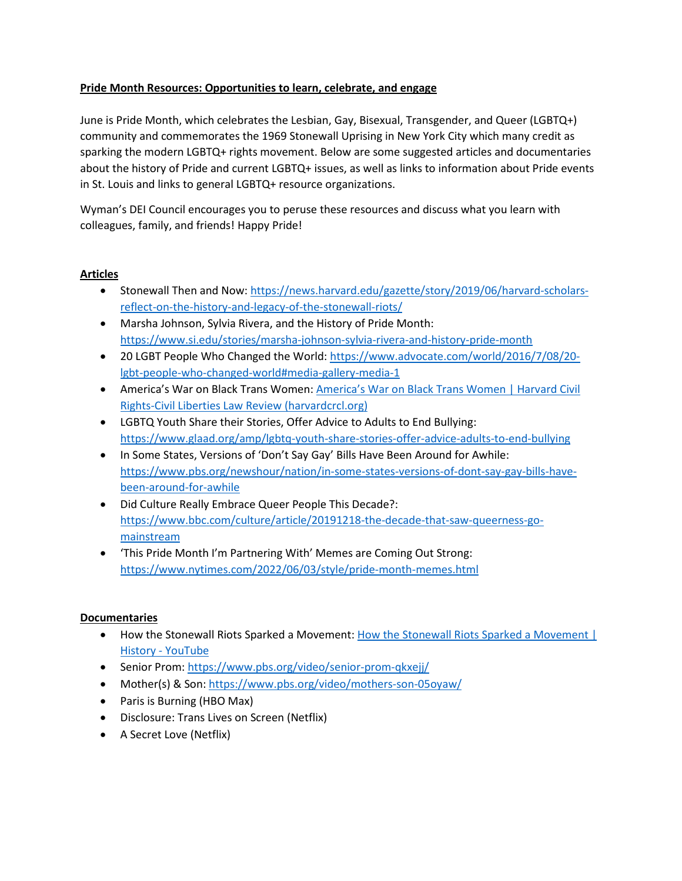# **Pride Month Resources: Opportunities to learn, celebrate, and engage**

June is Pride Month, which celebrates the Lesbian, Gay, Bisexual, Transgender, and Queer (LGBTQ+) community and commemorates the 1969 Stonewall Uprising in New York City which many credit as sparking the modern LGBTQ+ rights movement. Below are some suggested articles and documentaries about the history of Pride and current LGBTQ+ issues, as well as links to information about Pride events in St. Louis and links to general LGBTQ+ resource organizations.

Wyman's DEI Council encourages you to peruse these resources and discuss what you learn with colleagues, family, and friends! Happy Pride!

# **Articles**

- Stonewall Then and Now: [https://news.harvard.edu/gazette/story/2019/06/harvard-scholars](https://news.harvard.edu/gazette/story/2019/06/harvard-scholars-reflect-on-the-history-and-legacy-of-the-stonewall-riots/)[reflect-on-the-history-and-legacy-of-the-stonewall-riots/](https://news.harvard.edu/gazette/story/2019/06/harvard-scholars-reflect-on-the-history-and-legacy-of-the-stonewall-riots/)
- Marsha Johnson, Sylvia Rivera, and the History of Pride Month: <https://www.si.edu/stories/marsha-johnson-sylvia-rivera-and-history-pride-month>
- 20 LGBT People Who Changed the World: [https://www.advocate.com/world/2016/7/08/20](https://www.advocate.com/world/2016/7/08/20-lgbt-people-who-changed-world#media-gallery-media-1) [lgbt-people-who-changed-world#media-gallery-media-1](https://www.advocate.com/world/2016/7/08/20-lgbt-people-who-changed-world#media-gallery-media-1)
- America's War on Black Trans Women: [America's War on Black Trans Women | Harvard Civil](https://harvardcrcl.org/americas-war-on-black-trans-women/)  [Rights-Civil Liberties Law Review \(harvardcrcl.org\)](https://harvardcrcl.org/americas-war-on-black-trans-women/)
- LGBTQ Youth Share their Stories, Offer Advice to Adults to End Bullying: <https://www.glaad.org/amp/lgbtq-youth-share-stories-offer-advice-adults-to-end-bullying>
- In Some States, Versions of 'Don't Say Gay' Bills Have Been Around for Awhile: [https://www.pbs.org/newshour/nation/in-some-states-versions-of-dont-say-gay-bills-have](https://www.pbs.org/newshour/nation/in-some-states-versions-of-dont-say-gay-bills-have-been-around-for-awhile)[been-around-for-awhile](https://www.pbs.org/newshour/nation/in-some-states-versions-of-dont-say-gay-bills-have-been-around-for-awhile)
- Did Culture Really Embrace Queer People This Decade?: [https://www.bbc.com/culture/article/20191218-the-decade-that-saw-queerness-go](https://www.bbc.com/culture/article/20191218-the-decade-that-saw-queerness-go-mainstream)[mainstream](https://www.bbc.com/culture/article/20191218-the-decade-that-saw-queerness-go-mainstream)
- 'This Pride Month I'm Partnering With' Memes are Coming Out Strong: <https://www.nytimes.com/2022/06/03/style/pride-month-memes.html>

### **Documentaries**

- How the Stonewall Riots Sparked a Movement: [How the Stonewall Riots Sparked a Movement |](https://www.youtube.com/watch?v=Q9wdMJmuBlA&feature=emb_imp_woyt)  History - [YouTube](https://www.youtube.com/watch?v=Q9wdMJmuBlA&feature=emb_imp_woyt)
- Senior Prom[: https://www.pbs.org/video/senior-prom-qkxejj/](https://www.pbs.org/video/senior-prom-qkxejj/)
- Mother(s) & Son[: https://www.pbs.org/video/mothers-son-05oyaw/](https://www.pbs.org/video/mothers-son-05oyaw/)
- Paris is Burning (HBO Max)
- Disclosure: Trans Lives on Screen (Netflix)
- A Secret Love (Netflix)